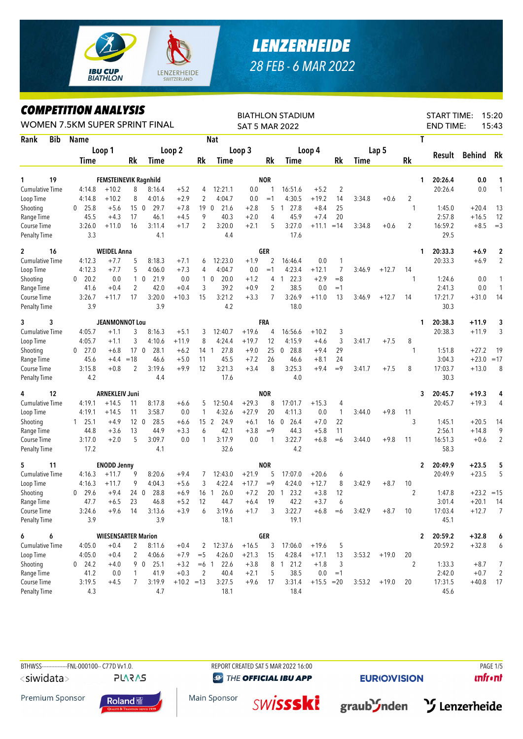

## *LENZERHEIDE 28 FEB - 6 MAR 2022*

## *COMPETITION ANALYSIS*

| LUMPEIIIIUN ANALISIS<br>WOMEN 7.5KM SUPER SPRINT FINAL |                      |                              |                 | <b>BIATHLON STADIUM</b><br><b>SAT 5 MAR 2022</b> |              |                 | 15:20<br><b>START TIME:</b><br><b>END TIME:</b><br>15:43 |         |                |                      |              |                |             |                 |                |                         |              |                |
|--------------------------------------------------------|----------------------|------------------------------|-----------------|--------------------------------------------------|--------------|-----------------|----------------------------------------------------------|---------|----------------|----------------------|--------------|----------------|-------------|-----------------|----------------|-------------------------|--------------|----------------|
| Rank<br><b>Bib</b>                                     | <b>Name</b>          |                              |                 |                                                  |              |                 | <b>Nat</b>                                               |         |                |                      |              |                | T           |                 |                |                         |              |                |
|                                                        |                      | Loop 1                       |                 |                                                  | Loop 2       |                 |                                                          | Loop 3  |                | Loop 4               |              |                |             | Lap 5           |                |                         |              |                |
|                                                        | Time                 |                              | Rk              | Time                                             |              | Rk              | Time                                                     |         | Rk             | Time                 |              | Rk             | <b>Time</b> |                 | <b>Rk</b>      | Result                  | Behind       | Rk             |
| 19<br>1                                                |                      | <b>FEMSTEINEVIK Ragnhild</b> |                 |                                                  |              |                 |                                                          |         | <b>NOR</b>     |                      |              |                |             |                 |                | 20:26.4<br>1            | 0.0          | 1              |
| <b>Cumulative Time</b>                                 | 4:14.8               | $+10.2$                      | 8               | 8:16.4                                           | $+5.2$       | 4               | 12:21.1                                                  | 0.0     | 1              | 16:51.6              | $+5.2$       | $\overline{2}$ |             |                 |                | 20:26.4                 | 0.0          | $\mathbf{1}$   |
| Loop Time                                              | 4:14.8               | $+10.2$                      | 8               | 4:01.6                                           | $+2.9$       | 2               | 4:04.7                                                   | 0.0     | $=1$           | 4:30.5               | $+19.2$      | 14             | 3:34.8      | $+0.6$          | 2              |                         |              |                |
| Shooting                                               | 25.8<br>0            | $+5.6$                       | 15 <sub>0</sub> | 29.7                                             | $+7.8$       | 190             | 21.6                                                     | $+2.8$  | 5              | 27.8<br>1            | $+8.4$       | 25             |             |                 | $\mathbf{1}$   | 1:45.0                  | $+20.4$      | 13             |
| Range Time                                             | 45.5                 | $+4.3$                       | 17              | 46.1                                             | $+4.5$       | 9               | 40.3                                                     | $+2.0$  | 4              | 45.9                 | $+7.4$       | 20             |             |                 |                | 2:57.8                  | $+16.5$      | 12             |
| Course Time                                            | 3:26.0               | $+11.0$                      | 16              | 3:11.4                                           | $+1.7$       | $\overline{2}$  | 3:20.0                                                   | $+2.1$  | 5              | 3:27.0               | $+11.1$      | $=14$          | 3:34.8      | $+0.6$          | $\overline{2}$ | 16:59.2                 | $+8.5$       | $=3$           |
| <b>Penalty Time</b>                                    | 3.3                  |                              |                 | 4.1                                              |              |                 | 4.4                                                      |         |                | 17.6                 |              |                |             |                 |                | 29.5                    |              |                |
| $\mathbf{2}$<br>16                                     |                      | <b>WEIDEL Anna</b>           |                 |                                                  |              |                 |                                                          |         | GER            |                      |              |                |             |                 |                | 20:33.3<br>1            | $+6.9$       | $\overline{2}$ |
| <b>Cumulative Time</b>                                 | 4:12.3               | $+7.7$                       | 5               | 8:18.3                                           | $+7.1$       | 6               | 12:23.0                                                  | $+1.9$  | 2              | 16:46.4              | 0.0          | 1              |             |                 |                | 20:33.3                 | $+6.9$       | $\overline{2}$ |
| Loop Time                                              | 4:12.3               | $+7.7$                       | 5               | 4:06.0                                           | $+7.3$       | 4               | 4:04.7                                                   | 0.0     | $=1$           | 4:23.4               | $+12.1$      | 7              | 3:46.9      | $+12.7$         | 14             |                         |              |                |
| Shooting                                               | 20.2<br>$\bf{0}$     | 0.0                          |                 | $1\quad0$<br>21.9                                | 0.0          |                 | 20.0<br>$1\quad$ 0                                       | $+1.2$  | 4              | 22.3<br>$\mathbf{1}$ | $+2.9$       | $=8$           |             |                 | 1              | 1:24.6                  | 0.0          | 1              |
| Range Time                                             | 41.6                 | $+0.4$                       | $\overline{c}$  | 42.0                                             | $+0.4$       | 3               | 39.2                                                     | $+0.9$  | $\overline{2}$ | 38.5                 | 0.0          | $=1$           |             |                 |                | 2:41.3                  | 0.0          | $\mathbf{1}$   |
| Course Time                                            | 3:26.7               | $+11.7$                      | 17              | 3:20.0                                           | $+10.3$      | 15              | 3:21.2                                                   | $+3.3$  | 7              | 3:26.9               | $+11.0$      | 13             | 3:46.9      | $+12.7$         | 14             | 17:21.7                 | $+31.0$      | 14             |
| <b>Penalty Time</b>                                    | 3.9                  |                              |                 | 3.9                                              |              |                 | 4.2                                                      |         |                | 18.0                 |              |                |             |                 |                | 30.3                    |              |                |
| 3<br>3                                                 |                      | <b>JEANMONNOT Lou</b>        |                 |                                                  |              |                 |                                                          |         | <b>FRA</b>     |                      |              |                |             |                 |                | 20:38.3<br>1            | $+11.9$      | 3              |
| <b>Cumulative Time</b>                                 | 4:05.7               | $+1.1$                       | 3               | 8:16.3                                           | $+5.1$       | 3               | 12:40.7                                                  | $+19.6$ | 4              | 16:56.6              | $+10.2$      | 3              |             |                 |                | 20:38.3                 | $+11.9$      | 3              |
| Loop Time                                              | 4:05.7               | $+1.1$                       | 3               | 4:10.6                                           | $+11.9$      | 8               | 4:24.4                                                   | $+19.7$ | 12             | 4:15.9               | $+4.6$       | 3              | 3:41.7      | $+7.5$          | 8              |                         |              |                |
| Shooting                                               | 27.0<br>$\bf{0}$     | $+6.8$                       | 17 <sub>0</sub> | 28.1                                             | $+6.2$       | 14 1            | 27.8                                                     | $+9.0$  | 25             | 28.8<br>$\mathbf 0$  | $+9.4$       | 29             |             |                 | $\mathbf{1}$   | 1:51.8                  | $+27.2$      | 19             |
| Range Time                                             | 45.6                 | $+4.4$                       | $=18$           | 46.6                                             | $+5.0$       | 11              | 45.5                                                     | $+7.2$  | 26             | 46.6                 | $+8.1$       | 24             |             |                 |                | 3:04.3                  | $+23.0$      | $=17$          |
| Course Time                                            | 3:15.8               | $+0.8$                       | 2               | 3:19.6                                           | $+9.9$       | 12              | 3:21.3                                                   | $+3.4$  | 8              | 3:25.3               | $+9.4$       | $=9$           | 3:41.7      | $+7.5$          | 8              | 17:03.7                 | $+13.0$      | 8              |
| <b>Penalty Time</b>                                    | 4.2                  |                              |                 | 4.4                                              |              |                 | 17.6                                                     |         |                | 4.0                  |              |                |             |                 |                | 30.3                    |              |                |
| 12<br>4                                                |                      | <b>ARNEKLEIV Juni</b>        |                 |                                                  |              |                 |                                                          |         | <b>NOR</b>     |                      |              |                |             |                 |                | 3<br>20:45.7            | $+19.3$      | 4              |
| <b>Cumulative Time</b>                                 | 4:19.1               | $+14.5$                      | 11              | 8:17.8                                           | $+6.6$       | 5               | 12:50.4                                                  | $+29.3$ | 8              | 17:01.7              | $+15.3$      | 4              |             |                 |                | 20:45.7                 | $+19.3$      | 4              |
| Loop Time                                              | 4:19.1               | $+14.5$                      | 11              | 3:58.7                                           | 0.0          | 1               | 4:32.6                                                   | $+27.9$ | 20             | 4:11.3               | 0.0          | 1              | 3:44.0      | $+9.8$          | 11             |                         |              |                |
| Shooting                                               | 25.1<br>1            | $+4.9$                       | 12 <sub>0</sub> | 28.5                                             | $+6.6$       | 15 <sup>2</sup> | 24.9                                                     | $+6.1$  | 16             | 0, 26.4              | $+7.0$       | 22             |             |                 | 3              | 1:45.1                  | $+20.5$      | 14             |
| Range Time                                             | 44.8                 | $+3.6$                       | 13              | 44.9                                             | $+3.3$       | 6               | 42.1                                                     | $+3.8$  | $=9$           | 44.3                 | $+5.8$       | 11             |             |                 |                | 2:56.1                  | $+14.8$      | 9              |
| Course Time                                            | 3:17.0               | $+2.0$                       | 5               | 3:09.7                                           | 0.0          | 1               | 3:17.9                                                   | 0.0     | 1              | 3:22.7               | $+6.8$       | $=6$           | 3:44.0      | $+9.8$          | 11             | 16:51.3                 | $+0.6$       | $\overline{2}$ |
| <b>Penalty Time</b>                                    | 17.2                 |                              |                 | 4.1                                              |              |                 | 32.6                                                     |         |                | 4.2                  |              |                |             |                 |                | 58.3                    |              |                |
| 5<br>11                                                |                      | <b>ENODD Jenny</b>           |                 |                                                  |              |                 |                                                          |         | <b>NOR</b>     |                      |              |                |             |                 |                | 2<br>20:49.9            | $+23.5$      | 5              |
| <b>Cumulative Time</b>                                 | 4:16.3               | $+11.7$                      | 9               | 8:20.6                                           | $+9.4$       | 7               | 12:43.0                                                  | $+21.9$ | 5              | 17:07.0              | $+20.6$      | 6              |             |                 |                | 20:49.9                 | $+23.5$      | 5              |
| Loop Time                                              | 4:16.3               | $+11.7$                      | 9               | 4:04.3                                           | $+5.6$       | 3               | 4:22.4                                                   | $+17.7$ | $=9$           | 4:24.0               | $+12.7$      | 8              | 3:42.9      | $+8.7$          | 10             |                         |              |                |
| Shooting                                               | 29.6<br>$\mathbf{0}$ | $+9.4$                       | 24 0            | 28.8                                             | $+6.9$       | 16 <sub>1</sub> | 26.0                                                     | $+7.2$  | 20             | 23.2<br>1            | $+3.8$       | 12             |             |                 | $\overline{2}$ | 1:47.8                  | $+23.2 = 15$ |                |
| Range Time                                             | 47.7                 | $+6.5$                       | 23              | 46.8                                             | $+5.2$       | 12              | 44.7                                                     | $+6.4$  | 19             | 42.2                 | $+3.7$       | 6              |             |                 |                | 3:01.4                  | $+20.1$      | - 14           |
| Course Time                                            | 3:24.6               | $+9.6$                       | 14              | 3:13.6                                           | $+3.9$       | 6               | 3:19.6                                                   | $+1.7$  | 3              | 3:22.7               | $+6.8$       | $=6$           | 3:42.9      | $+8.7$          | 10             | 17:03.4                 | $+12.7$      | 7              |
| <b>Penalty Time</b>                                    | 3.9                  |                              |                 | 3.9                                              |              |                 | 18.1                                                     |         |                | 19.1                 |              |                |             |                 |                | 45.1                    |              |                |
| 6<br>6                                                 |                      | <b>WIESENSARTER Marion</b>   |                 |                                                  |              |                 |                                                          |         | GER            |                      |              |                |             |                 |                | 20:59.2<br>$\mathbf{2}$ | $+32.8$      | 6              |
| Cumulative Time                                        | 4:05.0               | $+0.4$                       | $\overline{2}$  | 8:11.6                                           | $+0.4$       | 2               | 12:37.6                                                  | $+16.5$ | 3              | 17:06.0              | $+19.6$      | 5              |             |                 |                | 20:59.2                 | $+32.8$      | 6              |
| Loop Time                                              | 4:05.0               | $+0.4$                       | $\overline{2}$  | 4:06.6                                           | $+7.9$       | $=$ 5           | 4:26.0                                                   | $+21.3$ | 15             | 4:28.4               | $+17.1$      | 13             | 3:53.2      | $+19.0$         | 20             |                         |              |                |
| Shooting                                               | $0$ 24.2             | $+4.0$                       |                 | 9 0 25.1                                         | $+3.2$       | $=6$ 1          | 22.6                                                     | $+3.8$  | 8              | 121.2                | $+1.8$       | 3              |             |                 | $\overline{2}$ | 1:33.3                  | $+8.7$       | 7              |
| Range Time                                             | 41.2                 | 0.0                          | 1               | 41.9                                             | $+0.3$       | 2               | 40.4                                                     | $+2.1$  | 5              | 38.5                 | 0.0          | $=1$           |             |                 |                | 2:42.0                  | $+0.7$       | $\sqrt{2}$     |
| Course Time                                            | 3:19.5               | $+4.5$                       | 7               | 3:19.9                                           | $+10.2 = 13$ |                 | 3:27.5                                                   | $+9.6$  | 17             | 3:31.4               | $+15.5 = 20$ |                |             | $3:53.2 + 19.0$ | 20             | 17:31.5                 | $+40.8$      | 17             |
| <b>Penalty Time</b>                                    | 4.3                  |                              |                 | 4.7                                              |              |                 | 18.1                                                     |         |                | 18.4                 |              |                |             |                 |                | 45.6                    |              |                |

BTHWSS---------------FNL-000100-- C77D Vv1.0. REPORT CREATED SAT 5 MAR 2022 16:00 <siwidata>

**PLARAS** 

**O THE OFFICIAL IBU APP** 

**EURIO)VISION** 

**unfront** 

Premium Sponsor



Main Sponsor



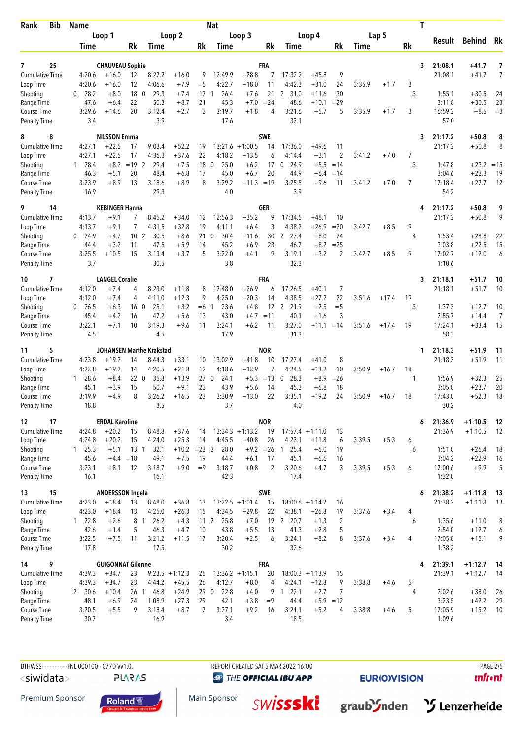| Bib<br>Rank                         | <b>Name</b>          |                                 |                 |                          |                    |                 | <b>Nat</b>              |                              |                          |                      |                              |                |        | T       |                |                    |                    |                      |
|-------------------------------------|----------------------|---------------------------------|-----------------|--------------------------|--------------------|-----------------|-------------------------|------------------------------|--------------------------|----------------------|------------------------------|----------------|--------|---------|----------------|--------------------|--------------------|----------------------|
|                                     | Loop 1               |                                 | Loop 2          |                          | Loop 3             |                 |                         |                              | Loop 4                   |                      |                              |                | Lap 5  |         | Result         | Behind Rk          |                    |                      |
|                                     | Time                 |                                 | Rk              | <b>Time</b>              |                    | Rk              | Time                    |                              | Rk                       | Time                 |                              | Rk             | Time   |         | Rk             |                    |                    |                      |
| 25<br>7                             |                      | <b>CHAUVEAU Sophie</b>          |                 |                          |                    |                 |                         |                              | FRA                      |                      |                              |                |        |         | 3              | 21:08.1            | +41.7              | 7                    |
| <b>Cumulative Time</b>              | 4:20.6               | $+16.0$                         | 12              | 8:27.2                   | $+16.0$            | 9               | 12:49.9                 | $+28.8$                      | 7                        | 17:32.2              | $+45.8$                      | 9              |        |         |                | 21:08.1            | $+41.7$            | 7                    |
| Loop Time                           | 4:20.6               | $+16.0$                         | 12              | 4:06.6                   | $+7.9$             | $=$ 5           | 4:22.7                  | $+18.0$                      | 11                       | 4:42.3               | $+31.0$                      | 24             | 3:35.9 | $+1.7$  | 3              |                    |                    |                      |
| Shooting                            | 28.2<br>$\Omega$     | $+8.0$                          | 18 0            | 29.3                     | $+7.4$             | 17              | 26.4<br>$\mathbf{1}$    | $+7.6$                       | 21                       | 31.0<br>$\mathbf{2}$ | $+11.6$                      | 30             |        |         | 3              | 1:55.1             | $+30.5$            | 24                   |
| Range Time<br>Course Time           | 47.6<br>3:29.6       | $+6.4$<br>$+14.6$               | 22<br>20        | 50.3<br>3:12.4           | $+8.7$<br>$+2.7$   | 21<br>3         | 45.3<br>3:19.7          | $+7.0$<br>$+1.8$             | $= 24$<br>$\overline{4}$ | 48.6<br>3:21.6       | $+10.1$<br>$+5.7$            | $=29$<br>5     | 3:35.9 | $+1.7$  | 3              | 3:11.8<br>16:59.2  | $+30.5$<br>$+8.5$  | 23<br>$=$ 3          |
| <b>Penalty Time</b>                 | 3.4                  |                                 |                 | 3.9                      |                    |                 | 17.6                    |                              |                          | 32.1                 |                              |                |        |         |                | 57.0               |                    |                      |
| 8<br>8                              |                      | <b>NILSSON Emma</b>             |                 |                          |                    |                 |                         |                              | <b>SWE</b>               |                      |                              |                |        |         | 3              | 21:17.2            | $+50.8$            | 8                    |
| Cumulative Time                     | 4:27.1               | $+22.5$                         | 17              | 9:03.4                   | $+52.2$            | 19              |                         | $13:21.6 +1:00.5$            | 14                       | 17:36.0              | $+49.6$                      | 11             |        |         |                | 21:17.2            | $+50.8$            | 8                    |
| Loop Time                           | 4:27.1               | $+22.5$                         | 17              | 4:36.3                   | $+37.6$            | 22              | 4:18.2                  | $+13.5$                      | 6                        | 4:14.4               | $+3.1$                       | 2              | 3:41.2 | $+7.0$  | 7              |                    |                    |                      |
| Shooting                            | 28.4<br>$\mathbf{1}$ | $+8.2$                          | $= 19$ 2        | 29.4                     | $+7.5$             | 18              | 25.0<br>$\mathbf{0}$    | $+6.2$                       | 17                       | $\mathbf 0$<br>24.9  | $+5.5$                       | $=14$          |        |         | 3              | 1:47.8             | $+23.2$            | $=15$                |
| Range Time                          | 46.3                 | $+5.1$                          | 20              | 48.4                     | $+6.8$             | 17              | 45.0                    | $+6.7$                       | 20                       | 44.9                 | $+6.4$                       | $=14$          |        |         |                | 3:04.6             | $+23.3$            | 19                   |
| Course Time                         | 3:23.9               | $+8.9$                          | 13              | 3:18.6                   | $+8.9$             | 8               | 3:29.2                  | $+11.3 = 19$                 |                          | 3:25.5               | $+9.6$                       | 11             | 3:41.2 | $+7.0$  | $\overline{7}$ | 17:18.4            | $+27.7$            | 12                   |
| <b>Penalty Time</b>                 | 16.9                 |                                 |                 | 29.3                     |                    |                 | 4.0                     |                              |                          | 3.9                  |                              |                |        |         |                | 54.2               |                    |                      |
| 9<br>14<br>Cumulative Time          | 4:13.7               | <b>KEBINGER Hanna</b><br>$+9.1$ | 7               | 8:45.2                   | $+34.0$            | 12              | 12:56.3                 | $+35.2$                      | GER<br>9                 | 17:34.5              | $+48.1$                      | 10             |        |         | 4              | 21:17.2<br>21:17.2 | $+50.8$<br>$+50.8$ | 9<br>9               |
| Loop Time                           | 4:13.7               | $+9.1$                          | $\overline{7}$  | 4:31.5                   | $+32.8$            | 19              | 4:11.1                  | $+6.4$                       | 3                        | 4:38.2               | $+26.9$                      | $=20$          | 3:42.7 | $+8.5$  | 9              |                    |                    |                      |
| Shooting                            | 24.9<br>$\mathbf{0}$ | $+4.7$                          | 10 <sub>2</sub> | 30.5                     | $+8.6$             | 21              | 30.4<br>$\mathbf{0}$    | +11.6                        | 30                       | $\mathbf{2}$<br>27.4 | $+8.0$                       | 24             |        |         | 4              | 1:53.4             | $+28.8$            | 22                   |
| Range Time                          | 44.4                 | $+3.2$                          | 11              | 47.5                     | $+5.9$             | 14              | 45.2                    | $+6.9$                       | 23                       | 46.7                 | $+8.2$                       | $= 25$         |        |         |                | 3:03.8             | $+22.5$            | 15                   |
| Course Time                         | 3:25.5               | $+10.5$                         | 15              | 3:13.4                   | $+3.7$             | 5               | 3:22.0                  | $+4.1$                       | 9                        | 3:19.1               | $+3.2$                       | 2              | 3:42.7 | $+8.5$  | 9              | 17:02.7            | $+12.0$            | 6                    |
| <b>Penalty Time</b>                 | 3.7                  |                                 |                 | 30.5                     |                    |                 | 3.8                     |                              |                          | 32.3                 |                              |                |        |         |                | 1:10.6             |                    |                      |
| 7<br>10                             |                      | <b>LANGEL Coralie</b>           |                 |                          |                    |                 |                         |                              | FRA                      |                      |                              |                |        |         | 3              | 21:18.1            | +51.7              | 10                   |
| <b>Cumulative Time</b>              | 4:12.0               | $+7.4$                          | 4               | 8:23.0                   | $+11.8$            | 8               | 12:48.0                 | $+26.9$                      | 6                        | 17:26.5              | $+40.1$                      | 7              |        |         |                | 21:18.1            | $+51.7$            | 10                   |
| Loop Time                           | 4:12.0               | $+7.4$                          | 4               | 4:11.0                   | $+12.3$            | 9               | 4:25.0                  | $+20.3$                      | 14                       | 4:38.5               | $+27.2$                      | 22             | 3:51.6 | $+17.4$ | 19             |                    |                    |                      |
| Shooting                            | $0$ 26.5             | $+6.3$                          | 16 <sub>0</sub> | 25.1                     | $+3.2$             | $=6$            | 23.6<br>-1              | $+4.8$                       | 12                       | 21.9<br>2            | $+2.5$                       | $=$ 5          |        |         | 3              | 1:37.3             | $+12.7$            | 10                   |
| Range Time                          | 45.4<br>3:22.1       | $+4.2$<br>$+7.1$                | 16<br>10        | 47.2<br>3:19.3           | $+5.6$<br>$+9.6$   | 13<br>11        | 43.0<br>3:24.1          | $+4.7$<br>$+6.2$             | $=11$<br>11              | 40.1<br>3:27.0       | $+1.6$<br>$+11.1$            | 3<br>$=14$     | 3:51.6 |         | 19             | 2:55.7<br>17:24.1  | $+14.4$<br>$+33.4$ | $\overline{7}$<br>15 |
| Course Time<br><b>Penalty Time</b>  | 4.5                  |                                 |                 | 4.5                      |                    |                 | 17.9                    |                              |                          | 31.3                 |                              |                |        | $+17.4$ |                | 58.3               |                    |                      |
| 5<br>11                             |                      |                                 |                 | JOHANSEN Marthe Krakstad |                    |                 |                         |                              | <b>NOR</b>               |                      |                              |                |        |         | 1              | 21:18.3            | +51.9              | 11                   |
| <b>Cumulative Time</b>              | 4:23.8               | $+19.2$                         | 14              | 8:44.3                   | $+33.1$            | 10              | 13:02.9                 | $+41.8$                      | 10                       | 17:27.4              | $+41.0$                      | 8              |        |         |                | 21:18.3            | $+51.9$            | 11                   |
| Loop Time                           | 4:23.8               | $+19.2$                         | 14              | 4:20.5                   | $+21.8$            | 12              | 4:18.6                  | $+13.9$                      | 7                        | 4:24.5               | $+13.2$                      | 10             | 3:50.9 | $+16.7$ | 18             |                    |                    |                      |
| Shooting                            | 28.6<br>$\mathbf{1}$ | $+8.4$                          | 220             | 35.8                     | $+13.9$            | 27 <sub>0</sub> | 24.1                    | $+5.3$                       | $=13$                    | 28.3<br>0            | $+8.9$                       | $=26$          |        |         | 1              | 1:56.9             | $+32.3$            | 25                   |
| Range Time                          | 45.1                 | $+3.9$                          | 15              | 50.7                     | $+9.1$             | 23              | 43.9                    | $+5.6$                       | 14                       | 45.3                 | $+6.8$                       | 18             |        |         |                | 3:05.0             | $+23.7$            | 20                   |
| Course Time<br><b>Penalty Time</b>  | 3:19.9<br>18.8       | $+4.9$                          | 8               | 3:26.2<br>3.5            | $+16.5$            | 23              | 3:30.9<br>3.7           | $+13.0$                      | 22                       | 3:35.1<br>4.0        | $+19.2$                      | 24             | 3:50.9 | $+16.7$ | 18             | 17:43.0<br>30.2    | $+52.3$            | 18                   |
| 17<br>12                            |                      | <b>ERDAL Karoline</b>           |                 |                          |                    |                 |                         |                              | <b>NOR</b>               |                      |                              |                |        |         | 6              | 21:36.9            | $+1:10.5$          | 12                   |
| <b>Cumulative Time</b>              | 4:24.8               | $+20.2$                         | 15              | 8:48.8                   | $+37.6$            | 14              |                         | $13:34.3 +1:13.2$            | 19                       |                      | $17:57.4 +1:11.0$            | 13             |        |         |                | 21:36.9            | $+1:10.5$          | 12                   |
| Loop Time                           | 4:24.8               | $+20.2$                         | 15              | 4:24.0                   | $+25.3$            | 14              | 4:45.5                  | $+40.8$                      | 26                       | 4:23.1               | $+11.8$                      | 6              | 3:39.5 | $+5.3$  | 6              |                    |                    |                      |
| Shooting                            | 125.3                | $+5.1$                          | $13-1$          | 32.1                     | $+10.2$            | $= 23 \quad 3$  | 28.0                    | $+9.2$                       | $=26$                    | 25.4<br>$\mathbf{1}$ | $+6.0$                       | 19             |        |         | 6              | 1:51.0             | $+26.4$            | 18                   |
| Range Time                          | 45.6                 | $+4.4 = 18$                     |                 | 49.1                     | $+7.5$             | 19              | 44.4                    | $+6.1$                       | 17                       | 45.1                 | $+6.6$                       | 16             |        |         |                | 3:04.2             | $+22.9$            | 16                   |
| Course Time                         | 3:23.1               | $+8.1$                          | 12              | 3:18.7                   | $+9.0$             | $=9$            | 3:18.7                  | $+0.8$                       | $\overline{2}$           | 3:20.6               | $+4.7$                       | 3              | 3:39.5 | $+5.3$  | 6              | 17:00.6            | $+9.9$             | 5                    |
| <b>Penalty Time</b>                 | 16.1                 |                                 |                 | 16.1                     |                    |                 | 42.3                    |                              |                          | 17.4                 |                              |                |        |         |                | 1:32.0             |                    |                      |
| 15<br>13                            |                      | <b>ANDERSSON Ingela</b>         |                 |                          |                    |                 |                         |                              | <b>SWE</b>               |                      |                              |                |        |         | 6              | 21:38.2            | $+1:11.8$          | - 13                 |
| <b>Cumulative Time</b><br>Loop Time | 4:23.0<br>4:23.0     | $+18.4$<br>$+18.4$              | 13<br>13        | 8:48.0<br>4:25.0         | $+36.8$<br>$+26.3$ | 13<br>15        | 4:34.5                  | $13:22.5 +1:01.4$<br>$+29.8$ | 15<br>22                 | 4:38.1               | $18:00.6 +1:14.2$<br>$+26.8$ | 16<br>19       | 3:37.6 | $+3.4$  | 4              | 21:38.2            | $+1:11.8$          | 13                   |
| Shooting                            | 22.8<br>$\mathbf{1}$ | $+2.6$                          | 8 1             | 26.2                     | $+4.3$             |                 | 25.8<br>11 <sub>2</sub> | $+7.0$                       | 19                       | 2 20.7               | $+1.3$                       | $\overline{2}$ |        |         | 6              | 1:35.6             | $+11.0$            | 8                    |
| Range Time                          | 42.6                 | $+1.4$                          | 5               | 46.3                     | $+4.7$             | 10              | 43.8                    | $+5.5$                       | 13                       | 41.3                 | $+2.8$                       | 5              |        |         |                | 2:54.0             | $+12.7$            | 6                    |
| Course Time                         | 3:22.5               | $+7.5$                          | 11              | 3:21.2                   | $+11.5$            | 17              | 3:20.4                  | $+2.5$                       | 6                        | 3:24.1               | $+8.2$                       | 8              | 3:37.6 | $+3.4$  | 4              | 17:05.8            | $+15.1$            | 9                    |
| <b>Penalty Time</b>                 | 17.8                 |                                 |                 | 17.5                     |                    |                 | 30.2                    |                              |                          | 32.6                 |                              |                |        |         |                | 1:38.2             |                    |                      |
| 9<br>14                             |                      | <b>GUIGONNAT Gilonne</b>        |                 |                          |                    |                 |                         |                              | <b>FRA</b>               |                      |                              |                |        |         | 4              | 21:39.1            | $+1:12.7$          | 14                   |
| <b>Cumulative Time</b>              | 4:39.3               | $+34.7$                         | 23              |                          | $9:23.5 +1:12.3$   | 25              |                         | $13:36.2 +1:15.1$            | 20                       |                      | $18:00.3 +1:13.9$            | 15             |        |         |                | 21:39.1            | $+1:12.7$          | 14                   |
| Loop Time                           | 4:39.3               | $+34.7$                         | 23              | 4:44.2                   | $+45.5$            | 26              | 4:12.7                  | $+8.0$                       | 4                        | 4:24.1               | $+12.8$                      | 9              | 3:38.8 | $+4.6$  | 5              |                    |                    |                      |
| Shooting                            | 2 30.6               | $+10.4$                         | 26 <sub>1</sub> | 46.8                     | $+24.9$            | 29 0            | 22.8                    | $+4.0$                       | 9                        | 122.1                | $+2.7$                       | 7              |        |         | 4              | 2:02.6             | $+38.0$            | 26                   |
| Range Time                          | 48.1                 | $+6.9$                          | 24              | 1:08.9                   | $+27.3$            | 29              | 42.1                    | $+3.8$                       | $=9$                     | 44.4                 |                              | $+5.9 = 12$    |        |         |                | 3:23.5             | $+42.2$            | 29                   |
| Course Time                         | 3:20.5               | $+5.5$                          | 9               | 3:18.4                   | $+8.7$             | $\overline{7}$  | 3:27.1                  | $+9.2$                       | 16                       | 3:21.1               | $+5.2$                       | 4              | 3:38.8 | $+4.6$  | 5              | 17:05.9            | $+15.2$            | 10                   |
| <b>Penalty Time</b>                 | 30.7                 |                                 |                 | 16.9                     |                    |                 | 3.4                     |                              |                          | 18.5                 |                              |                |        |         |                | 1:09.6             |                    |                      |

BTHWSS----------------FNL-000100-- C77D Vv1.0. REPORT CREATED SAT 5 MAR 2022 16:00 <siwidata> **PLARAS** 

**O THE OFFICIAL IBU APP** 

**EURIO)VISION** 

 $unfront$ 

Premium Sponsor



Main Sponsor **SWİSSSKİ** 



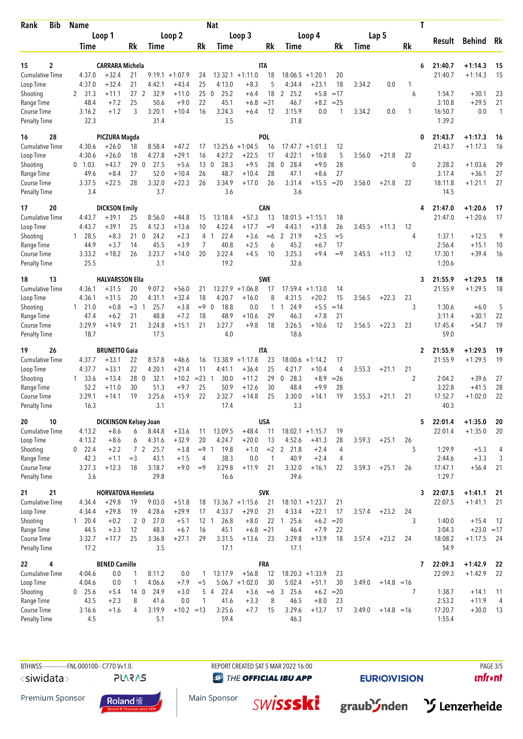| <b>Bib</b><br>Rank                 | <b>Name</b><br>Loop 1 |                              |                  |                        |                   |                       | <b>Nat</b>           |                       |                |                     |                    |             |        |              |    | Т |                   |                         |                    |
|------------------------------------|-----------------------|------------------------------|------------------|------------------------|-------------------|-----------------------|----------------------|-----------------------|----------------|---------------------|--------------------|-------------|--------|--------------|----|---|-------------------|-------------------------|--------------------|
|                                    |                       |                              | Loop 2           |                        |                   |                       | Loop 3               |                       | Loop 4         |                     |                    | Lap 5       |        |              |    |   |                   |                         |                    |
|                                    | Time                  |                              | Rk               | Time                   |                   | Rk                    | Time                 |                       | Rk             | Time                |                    | Rk          | Time   |              | Rk |   | Result            | Behind                  | Rk                 |
|                                    |                       |                              |                  |                        |                   |                       |                      |                       |                |                     |                    |             |        |              |    |   |                   |                         |                    |
| $\overline{2}$<br>15               |                       | <b>CARRARA Michela</b>       |                  |                        |                   |                       |                      |                       | ITA            |                     |                    |             |        |              |    | 6 | 21:40.7           | $+1:14.3$               | 15                 |
| <b>Cumulative Time</b>             | 4:37.0                | $+32.4$                      | 21               | 9:19.1                 | $+1:07.9$         | 24                    |                      | $13:32.1 + 1:11.0$    | 18             | 18:06.5             | $+1:20.1$          | 20          |        |              |    |   | 21:40.7           | $+1:14.3$               | 15                 |
| Loop Time                          | 4:37.0                | $+32.4$                      | 21               | 4:42.1                 | $+43.4$           | 25                    | 4:13.0               | $+8.3$                | 5              | 4:34.4              | $+23.1$            | 18          | 3:34.2 | 0.0          | 1  |   |                   |                         |                    |
| Shooting                           | 2 31.3                | +11.1                        | 27 <sub>2</sub>  | 32.9                   | $+11.0$           | 25                    | 25.2<br>0            | $+6.4$                | 18             | 2 25.2              | $+5.8$             | $=17$       |        |              | 6  |   | 1:54.7            | $+30.1$                 | 23                 |
| Range Time<br>Course Time          | 48.4<br>3:16.2        | $+7.2$<br>$+1.2$             | 25<br>3          | 50.6<br>3:20.1         | $+9.0$<br>$+10.4$ | 22<br>16              | 45.1<br>3:24.3       | $+6.8$<br>$+6.4$      | $= 21$<br>12   | 46.7<br>3:15.9      | $+8.2$<br>0.0      | $= 25$<br>1 | 3:34.2 | 0.0          | 1  |   | 3:10.8<br>16:50.7 | $+29.5$<br>0.0          | 21<br>$\mathbf{1}$ |
| <b>Penalty Time</b>                | 32.3                  |                              |                  | 31.4                   |                   |                       | 3.5                  |                       |                | 31.8                |                    |             |        |              |    |   | 1:39.2            |                         |                    |
| 16<br>28                           |                       | PICZURA Magda                |                  |                        |                   |                       |                      |                       | <b>POL</b>     |                     |                    |             |        |              |    | 0 | 21:43.7           | $+1:17.3$               | 16                 |
| <b>Cumulative Time</b>             | 4:30.6                | $+26.0$                      | 18               | 8:58.4                 | $+47.2$           | 17                    | 13:25.6              | $+1:04.5$             | 16             | $17:47.7 + 1:01.3$  |                    | 12          |        |              |    |   | 21:43.7           | $+1:17.3$               | 16                 |
| Loop Time                          | 4:30.6                | $+26.0$                      | 18               | 4:27.8                 | $+29.1$           | 16                    | 4:27.2               | $+22.5$               | 17             | 4:22.1              | $+10.8$            | 5           | 3:56.0 | $+21.8$      | 22 |   |                   |                         |                    |
| Shooting                           | $0$ 1:03.             | $+43.7$                      | 29               | $\mathbf 0$<br>27.5    | $+5.6$            | 13                    | $\mathbf{0}$<br>28.3 | $+9.5$                | 28             | $\mathbf 0$<br>28.4 | $+9.0$             | 28          |        |              | 0  |   | 2:28.2            | $+1:03.6$               | 29                 |
| Range Time                         | 49.6                  | $+8.4$                       | 27               | 52.0                   | $+10.4$           | 26                    | 48.7                 | $+10.4$               | 28             | 47.1                | $+8.6$             | 27          |        |              |    |   | 3:17.4            | $+36.1$                 | 27                 |
| Course Time                        | 3:37.5                | $+22.5$                      | 28               | 3:32.0                 | $+22.3$           | 26                    | 3:34.9               | $+17.0$               | 26             | 3:31.4              | $+15.5$            | $=20$       | 3:56.0 | $+21.8$      | 22 |   | 18:11.8           | $+1:21.1$               | 27                 |
| <b>Penalty Time</b>                | 3.4                   |                              |                  | 3.7                    |                   |                       | 3.6                  |                       |                | 3.6                 |                    |             |        |              |    |   | 14.5              |                         |                    |
| 20<br>17                           |                       | <b>DICKSON Emily</b>         |                  |                        |                   |                       |                      |                       | <b>CAN</b>     |                     |                    |             |        |              |    |   | 21:47.0           | $+1:20.6$               | 17                 |
| <b>Cumulative Time</b>             | 4:43.7                | $+39.1$                      | 25               | 8:56.0                 | $+44.8$           | 15                    | 13:18.4              | $+57.3$               | 13             | 18:01.5             | $+1:15.1$          | 18          |        |              |    |   | 21:47.0           | $+1:20.6$               | 17                 |
| Loop Time                          | 4:43.7                | $+39.1$                      | 25               | 4:12.3                 | $+13.6$           | 10                    | 4:22.4               | $+17.7$               | $=9$           | 4:43.1              | $+31.8$            | 26          | 3:45.5 | $+11.3$      | 12 |   |                   |                         |                    |
| Shooting                           | 1 28.5                | $+8.3$                       | 21               | 24.2<br>0              | $+2.3$            | 4                     | 22.4<br>-1           | $+3.6$                | $=6$           | 2 21.9              | $+2.5$             | $=$ 5       |        |              | 4  |   | 1:37.1            | $+12.5$                 | 9                  |
| Range Time                         | 44.9<br>3:33.2        | $+3.7$<br>$+18.2$            | 14<br>26         | 45.5<br>3:23.7         | $+3.9$            | 7<br>20               | 40.8<br>3:22.4       | $+2.5$<br>$+4.5$      | 6<br>10        | 45.2<br>3:25.3      | $+6.7$<br>$+9.4$   | 17<br>$=9$  | 3:45.5 |              |    |   | 2:56.4<br>17:30.1 | $+15.1$<br>$+39.4$      | 10<br>16           |
| Course Time<br><b>Penalty Time</b> | 25.5                  |                              |                  | 3.1                    | $+14.0$           |                       | 19.2                 |                       |                | 32.6                |                    |             |        | $+11.3$      | 12 |   | 1:20.6            |                         |                    |
| 13<br>18                           |                       | <b>HALVARSSON Ella</b>       |                  |                        |                   |                       |                      |                       | <b>SWE</b>     |                     |                    |             |        |              |    | 3 | 21:55.9           | $+1:29.5$               | 18                 |
| <b>Cumulative Time</b>             | 4:36.1                | $+31.5$                      | 20               | 9:07.2                 | $+56.0$           | 21                    |                      | $13:27.9 + 1:06.8$    | 17             |                     | $17:59.4 + 1:13.0$ | 14          |        |              |    |   | 21:55.9           | $+1:29.5$               | 18                 |
| Loop Time                          | 4:36.1                | $+31.5$                      | 20               | 4:31.1                 | $+32.4$           | 18                    | 4:20.7               | $+16.0$               | 8              | 4:31.5              | $+20.2$            | 15          | 3:56.5 | $+22.3$      | 23 |   |                   |                         |                    |
| Shooting                           | $1 \quad 21.0$        | $+0.8$                       | $=$ 3            | 25.7<br>$\overline{1}$ | $+3.8$            | $=9$                  | 18.8<br>$\mathbf{0}$ | 0.0                   | 1              | 24.9<br>1           | $+5.5$             | $=14$       |        |              | 3  |   | 1:30.6            | $+6.0$                  | 5                  |
| Range Time                         | 47.4                  | $+6.2$                       | 21               | 48.8                   | $+7.2$            | 18                    | 48.9                 | $+10.6$               | 29             | 46.3                | $+7.8$             | 21          |        |              |    |   | 3:11.4            | $+30.1$                 | 22                 |
| Course Time                        | 3:29.9                | +14.9                        | 21               | 3:24.8                 | $+15.1$           | 21                    | 3:27.7               | $+9.8$                | 18             | 3:26.5              | $+10.6$            | 12          | 3:56.5 | $+22.3$      | 23 |   | 17:45.4           | $+54.7$                 | 19                 |
| <b>Penalty Time</b>                | 18.7                  |                              |                  | 17.5                   |                   |                       | 4.0                  |                       |                | 18.6                |                    |             |        |              |    |   | 59.0              |                         |                    |
| 26<br>19                           |                       | <b>BRUNETTO Gaia</b>         |                  |                        |                   |                       |                      |                       | IΤA            |                     |                    |             |        |              |    | 2 | 21:55.9           | $+1:29.5$               | 19                 |
| <b>Cumulative Time</b>             | 4:37.7                | $+33.1$                      | 22               | 8:57.8                 | $+46.6$           | 16                    | 13:38.9              | $+1:17.8$             | 23             | 18:00.6             | $+1:14.2$          | 17          |        |              |    |   | 21:55.9           | $+1:29.5$               | 19                 |
| Loop Time                          | 4:37.7                | $+33.1$                      | 22               | 4:20.1                 | $+21.4$           | 11                    | 4:41.1               | $+36.4$               | 25             | 4:21.7              | $+10.4$            | 4           | 3:55.3 | $+21.1$      | 21 |   |                   |                         |                    |
| Shooting<br>Range Time             | 33.6<br>1<br>52.2     | $+13.4$<br>$+11.0$           | 28<br>30         | 32.1<br>0<br>51.3      | $+10.2$<br>$+9.7$ | $= 23$<br>25          | 30.0<br>50.9         | $+11.2$<br>$+12.6$    | 29<br>30       | 28.3<br>0<br>48.4   | $+8.9$<br>$+9.9$   | $=26$<br>28 |        |              | 2  |   | 2:04.2<br>3:22.8  | $+39.6$<br>$+41.5$      | 27<br>28           |
| Course Time                        | 3:29.1                | $+14.1$                      | 19               | 3:25.6                 | $+15.9$           | 22                    | 3:32.7               | $+14.8$               | 25             | 3:30.0              | $+14.1$            | 19          | 3:55.3 | $+21.1$      | 21 |   | 17:52.7           | $+1:02.0$               | 22                 |
| <b>Penalty Time</b>                | 16.3                  |                              |                  | 3.1                    |                   |                       | 17.4                 |                       |                | 3.3                 |                    |             |        |              |    |   | 40.3              |                         |                    |
| 20<br>10                           |                       | <b>DICKINSON Kelsey Joan</b> |                  |                        |                   |                       |                      |                       | <b>USA</b>     |                     |                    |             |        |              |    | 5 | 22:01.4           | $+1:35.0$               | 20                 |
| Cumulative Time                    | 4:13.2                | $+8.6$                       | 6                | 8:44.8                 | $+33.6$           | 11                    | 13:09.5              | $+48.4$               | 11             | $18:02.1 + 1:15.7$  |                    | 19          |        |              |    |   | 22:01.4           | $+1:35.0$               | 20                 |
| Loop Time                          | 4:13.2                | $+8.6$                       | 6                | 4:31.6                 | $+32.9$           | 20                    | 4:24.7               | $+20.0$               | 13             | 4:52.6              | $+41.3$            | 28          | 3:59.3 | $+25.1$      | 26 |   |                   |                         |                    |
| Shooting                           | $0$ 22.4              | $+2.2$                       |                  | 7 2 25.7               | $+3.8$            | $= 9 \quad 1$         | 19.8                 | $+1.0$                |                | $= 2$ 2 21.8        | $+2.4$             | 4           |        |              | 5  |   | 1:29.9            | $+5.3$                  | 4                  |
| Range Time                         | 42.3                  | $+1.1$                       | $=3$             | 43.1                   | $+1.5$            | 4                     | 38.3                 | 0.0                   | $\overline{1}$ | 40.9                | $+2.4$             | 4           |        |              |    |   | 2:44.6            | $+3.3$                  | 3                  |
| Course Time                        | 3:27.3                | $+12.3$                      | 18               | 3:18.7<br>29.8         | $+9.0$            | $=9$                  | 3:29.8               | $+11.9$               | 21             | 3:32.0<br>39.6      | $+16.1$            | 22          | 3:59.3 | $+25.1$      | 26 |   | 17:47.1<br>1:29.7 | $+56.4$ 21              |                    |
| <b>Penalty Time</b>                | 3.6                   |                              |                  |                        |                   |                       | 16.6                 |                       |                |                     |                    |             |        |              |    |   |                   |                         |                    |
| 21<br>21                           |                       | <b>HORVATOVA Henrieta</b>    |                  |                        |                   |                       |                      |                       | <b>SVK</b>     |                     |                    |             |        |              |    | 3 | 22:07.5           | $+1:41.1$               | 21                 |
| <b>Cumulative Time</b>             | 4:34.4                | $+29.8$                      | 19               | 9:03.0                 | $+51.8$           | 18                    |                      | $13:36.7 +1:15.6$     | 21             | $18:10.1 + 1:23.7$  |                    | 21          |        |              |    |   | 22:07.5           | $+1:41.1$               | 21                 |
| Loop Time                          | 4:34.4                | $+29.8$                      | 19               | 4:28.6                 | $+29.9$           | 17                    | 4:33.7               | $+29.0$               | 21             | 4:33.4              | $+22.1$            | 17          | 3:57.4 | $+23.2$      | 24 |   |                   |                         |                    |
| Shooting<br>Range Time             | 1 20.4<br>44.5        | $+0.2$<br>$+3.3$             | $2\quad 0$<br>12 | 27.0<br>48.3           | $+5.1$<br>$+6.7$  | 12 <sub>1</sub><br>16 | 26.8<br>45.1         | $+8.0$<br>$+6.8 = 21$ | 22             | 125.6<br>46.4       | $+6.2$<br>$+7.9$   | $=20$<br>22 |        |              | 3  |   | 1:40.0<br>3:04.3  | $+15.4$<br>$+23.0 = 17$ | -12                |
| Course Time                        | 3:32.7                | $+17.7$                      | 25               | 3:36.8                 | $+27.1$           | 29                    | 3:31.5               | $+13.6$               | 23             | 3:29.8              | $+13.9$            | 18          | 3:57.4 | $+23.2$      | 24 |   | 18:08.2           | $+1:17.5$               | - 24               |
| <b>Penalty Time</b>                | 17.2                  |                              |                  | 3.5                    |                   |                       | 17.1                 |                       |                | 17.1                |                    |             |        |              |    |   | 54.9              |                         |                    |
| 22<br>4                            |                       | <b>BENED Camille</b>         |                  |                        |                   |                       |                      |                       | <b>FRA</b>     |                     |                    |             |        |              |    | 7 | 22:09.3           | $+1:42.9$               | 22                 |
| <b>Cumulative Time</b>             | 4:04.6                | 0.0                          | 1                | 8:11.2                 | 0.0               | 1                     | 13:17.9              | $+56.8$               | 12             |                     | $18:20.3 +1:33.9$  | 23          |        |              |    |   | 22:09.3           | $+1:42.9$               | 22                 |
| Loop Time                          | 4:04.6                | 0.0                          | 1                | 4:06.6                 | $+7.9$            | $=$ 5                 |                      | $5:06.7 +1:02.0$      | 30             | 5:02.4              | $+51.1$            | 30          | 3:49.0 | $+14.8 = 16$ |    |   |                   |                         |                    |
| Shooting                           | $0$ 25.6              | $+5.4$                       | 14 <sub>0</sub>  | 24.9                   | $+3.0$            |                       | $5\quad4$<br>22.4    | $+3.6$                |                | $=6$ 3 25.6         | $+6.2 = 20$        |             |        |              | 7  |   | 1:38.7            | $+14.1$                 | 11                 |
| Range Time                         | 43.5                  | $+2.3$                       | 8                | 41.6                   | 0.0               | $\mathbf{1}$          | 41.6                 | $+3.3$                | 8              | 46.5                | $+8.0$             | 23          |        |              |    |   | 2:53.2            | $+11.9$                 | $\overline{4}$     |
| Course Time                        | 3:16.6                | $+1.6$                       | 4                | 3:19.9                 | $+10.2 = 13$      |                       | 3:25.6               | $+7.7$                | 15             | 3:29.6              | $+13.7$            | 17          | 3:49.0 | $+14.8 = 16$ |    |   | 17:20.7           | $+30.0$                 | 13                 |
| <b>Penalty Time</b>                | 4.5                   |                              |                  | 5.1                    |                   |                       | 59.4                 |                       |                | 46.3                |                    |             |        |              |    |   | 1:55.4            |                         |                    |

BTHWSS----------------FNL-000100-- C77D Vv1.0. REPORT CREATED SAT 5 MAR 2022 16:00 <siwidata> **PLARAS** 

**O THE OFFICIAL IBU APP** 

**SWİSSSKİ** 

Main Sponsor

**EURIO)VISION** 

graub'Snden >S Lenzerheide

 $unfront$ 

Premium Sponsor

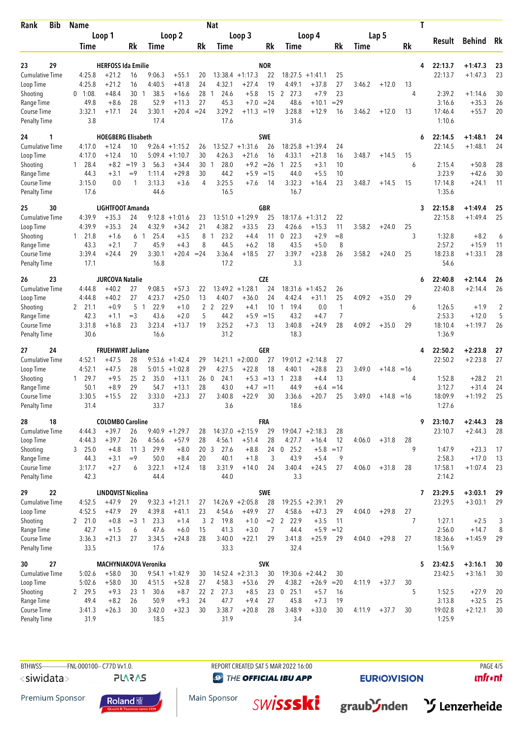| <b>Bib</b><br>Rank                        | Name             |                                      |                 |                              |                                       |          | <b>Nat</b>             |                      |                  |                        |                              |              | Т      |         |                |                    |                    |                |
|-------------------------------------------|------------------|--------------------------------------|-----------------|------------------------------|---------------------------------------|----------|------------------------|----------------------|------------------|------------------------|------------------------------|--------------|--------|---------|----------------|--------------------|--------------------|----------------|
|                                           | Loop 1           |                                      | Loop 2          |                              | Loop 3                                |          |                        |                      |                  | Loop 4                 | Lap 5                        |              |        |         |                |                    |                    |                |
|                                           | Time             |                                      | Rk              | Time                         |                                       | Rk       | Time                   |                      | Rk               | Time                   |                              | Rk           | Time   |         | Rk             | Result             | Behind             | Rk             |
|                                           |                  |                                      |                 |                              |                                       |          |                        |                      |                  |                        |                              |              |        |         |                |                    |                    |                |
| 29<br>23                                  |                  | <b>HERFOSS Ida Emilie</b>            |                 |                              |                                       |          |                        |                      | <b>NOR</b>       |                        |                              |              |        |         | 4              | 22:13.7            | $+1:47.3$          | 23             |
| <b>Cumulative Time</b>                    | 4:25.8           | $+21.2$                              | 16              | 9:06.3                       | $+55.1$                               | 20       |                        | $13:38.4 +1:17.3$    | 22               | 18:27.5                | $+1:41.1$                    | 25           |        |         |                | 22:13.7            | $+1:47.3$          | 23             |
| Loop Time                                 | 4:25.8           | $+21.2$                              | 16              | 4:40.5                       | $+41.8$                               | 24       | 4:32.1                 | $+27.4$              | 19               | 4:49.1                 | $+37.8$                      | 27           | 3:46.2 | $+12.0$ | 13             |                    |                    |                |
| Shooting                                  | $0$ 1:08.        | $+48.4$                              | 30              | 38.5<br>-1                   | $+16.6$                               | 28       | 24.6<br>-1             | $+5.8$               | 15               | 2 27.3                 | $+7.9$                       | 23           |        |         | 4              | 2:39.2             | $+1:14.6$          | 30             |
| Range Time                                | 49.8             | $+8.6$                               | 28<br>24        | 52.9<br>3:30.1               | $+11.3$                               | 27       | 45.3<br>3:29.2         | $+7.0 = 24$          |                  | 48.6<br>3:28.8         | $+10.1$                      | $=29$        |        |         |                | 3:16.6             | $+35.3$<br>$+55.7$ | 26<br>20       |
| Course Time<br><b>Penalty Time</b>        | 3:32.1<br>3.8    | $+17.1$                              |                 | 17.4                         | $+20.4$                               | $= 24$   | 17.6                   | $+11.3 = 19$         |                  | 31.6                   | $+12.9$                      | 16           | 3:46.2 | $+12.0$ | 13             | 17:46.4<br>1:10.6  |                    |                |
| 24<br>1                                   |                  | <b>HOEGBERG Elisabeth</b>            |                 |                              |                                       |          |                        |                      | SWE              |                        |                              |              |        |         | 6              | 22:14.5            | $+1:48.1$          | 24             |
| <b>Cumulative Time</b>                    | 4:17.0           | $+12.4$                              | 10              |                              | $9:26.4 +1:15.2$                      | 26       |                        | $13:52.7 +1:31.6$    | 26               | 18:25.8                | $+1:39.4$                    | 24           |        |         |                | 22:14.5            | $+1:48.1$          | 24             |
| Loop Time                                 | 4:17.0           | $+12.4$                              | 10              |                              | $5:09.4 +1:10.7$                      | 30       | 4:26.3                 | $+21.6$              | 16               | 4:33.1                 | $+21.8$                      | 16           | 3:48.7 | $+14.5$ | 15             |                    |                    |                |
| Shooting                                  | 28.4<br>1        | $+8.2$                               | $= 19.3$        | 56.3                         | $+34.4$                               | 30       | 28.0<br>$\mathbf{1}$   | $+9.2$               | $=26$            | 22.5<br>$\mathbf{1}$   | $+3.1$                       | 10           |        |         | 6              | 2:15.4             | $+50.8$            | 28             |
| Range Time                                | 44.3             | $+3.1$                               | $=9$            | 1:11.4                       | $+29.8$                               | 30       | 44.2                   | $+5.9$               | $=15$            | 44.0                   | $+5.5$                       | 10           |        |         |                | 3:23.9             | $+42.6$            | 30             |
| Course Time                               | 3:15.0           | 0.0                                  | 1               | 3:13.3                       | $+3.6$                                | 4        | 3:25.5                 | $+7.6$               | 14               | 3:32.3                 | $+16.4$                      | 23           | 3:48.7 | $+14.5$ | 15             | 17:14.8            | $+24.1$            | 11             |
| <b>Penalty Time</b>                       | 17.6             |                                      |                 | 44.6                         |                                       |          | 16.5                   |                      |                  | 16.7                   |                              |              |        |         |                | 1:35.6             |                    |                |
| 25<br>30                                  |                  | <b>LIGHTFOOT Amanda</b>              |                 |                              |                                       |          |                        |                      | GBR              |                        |                              |              |        |         | 3              | 22:15.8            | $+1:49.4$          | 25             |
| <b>Cumulative Time</b>                    | 4:39.9           | $+35.3$                              | 24              | 9:12.8                       | $+1:01.6$                             | 23       |                        | $13:51.0 +1:29.9$    | 25               | 18:17.6                | $+1:31.2$                    | 22           |        |         |                | 22:15.8            | $+1:49.4$          | 25             |
| Loop Time                                 | 4:39.9           | $+35.3$                              | 24              | 4:32.9                       | $+34.2$                               | 21       | 4:38.2<br>-1           | $+33.5$              | 23               | 4:26.6                 | $+15.3$                      | 11           | 3:58.2 | $+24.0$ | 25<br>3        |                    |                    |                |
| Shooting<br>Range Time                    | 1 21.8<br>43.3   | $+1.6$<br>$+2.1$                     | 6<br>7          | 25.4<br>-1<br>45.9           | $+3.5$<br>$+4.3$                      | 8<br>8   | 23.2<br>44.5           | $+4.4$<br>$+6.2$     | 11<br>18         | $0$ 22.3<br>43.5       | $+2.9$<br>$+5.0$             | $= 8$<br>8   |        |         |                | 1:32.8<br>2:57.2   | $+8.2$<br>$+15.9$  | 6<br>11        |
| Course Time                               | 3:39.4           | $+24.4$                              | 29              | 3:30.1                       | $+20.4 = 24$                          |          | 3:36.4                 | $+18.5$              | 27               | 3:39.7                 | $+23.8$                      | 26           | 3:58.2 | $+24.0$ | 25             | 18:23.8            | $+1:33.1$          | 28             |
| <b>Penalty Time</b>                       | 17.1             |                                      |                 | 16.8                         |                                       |          | 17.2                   |                      |                  | 3.3                    |                              |              |        |         |                | 54.6               |                    |                |
| 23<br>26                                  |                  | <b>JURCOVA Natalie</b>               |                 |                              |                                       |          |                        |                      | <b>CZE</b>       |                        |                              |              |        |         | 6              | 22:40.8            | $+2:14.4$          | 26             |
| <b>Cumulative Time</b>                    | 4:44.8           | $+40.2$                              | 27              | 9:08.5                       | $+57.3$                               | 22       |                        | $13:49.2 +1:28.1$    | 24               |                        | $18:31.6 + 1:45.2$           | 26           |        |         |                | 22:40.8            | $+2:14.4$          | 26             |
| Loop Time                                 | 4:44.8           | $+40.2$                              | 27              | 4:23.7                       | $+25.0$                               | 13       | 4:40.7                 | $+36.0$              | 24               | 4:42.4                 | $+31.1$                      | 25           | 4:09.2 | $+35.0$ | 29             |                    |                    |                |
| Shooting                                  | 2 21.1           | $+0.9$                               | 5               | 22.9<br>$\mathbf{1}$         | $+1.0$                                | 2        | 2<br>22.9              | $+4.1$               | 10               | 19.4<br>$\overline{1}$ | 0.0                          | $\mathbf{1}$ |        |         | 6              | 1:26.5             | $+1.9$             | $\overline{2}$ |
| Range Time                                | 42.3             | $+1.1$                               | $=3$            | 43.6                         | $+2.0$                                | 5        | 44.2                   | $+5.9$               | $=15$            | 43.2                   | $+4.7$                       | 7            |        |         |                | 2:53.3             | $+12.0$            | 5              |
| <b>Course Time</b><br><b>Penalty Time</b> | 3:31.8<br>30.6   | $+16.8$                              | 23              | 3:23.4<br>16.6               | $+13.7$                               | 19       | 3:25.2<br>31.2         | $+7.3$               | 13               | 3:40.8<br>18.3         | $+24.9$                      | 28           | 4:09.2 | $+35.0$ | 29             | 18:10.4<br>1:36.9  | $+1:19.7$          | 26             |
|                                           |                  |                                      |                 |                              |                                       |          |                        |                      |                  |                        |                              |              |        |         |                |                    |                    |                |
| 24<br>27                                  |                  | <b>FRUEHWIRT Juliane</b>             |                 |                              |                                       |          |                        |                      | GER              |                        |                              |              |        |         | 4              | 22:50.2            | $+2:23.8$          | 27             |
| <b>Cumulative Time</b><br>Loop Time       | 4:52.1<br>4:52.1 | $+47.5$<br>$+47.5$                   | 28<br>28        |                              | $9:53.6 + 1:42.4$<br>$5:01.5 +1:02.8$ | 29<br>29 | 14:21.1<br>4:27.5      | $+2:00.0$<br>$+22.8$ | 27<br>18         | 4:40.1                 | $19:01.2 +2:14.8$<br>$+28.8$ | 27<br>23     | 3:49.0 | $+14.8$ | $=16$          | 22:50.2            | $+2:23.8$          | 27             |
| Shooting                                  | 129.7            | $+9.5$                               | 25 <sub>2</sub> | 35.0                         | $+13.1$                               | 260      | 24.1                   | $+5.3$               | $=13$            | 23.8<br>1              | $+4.4$                       | 13           |        |         | 4              | 1:52.8             | $+28.2$            | 21             |
| Range Time                                | 50.1             | $+8.9$                               | 29              | 54.7                         | $+13.1$                               | 28       | 43.0                   | $+4.7 = 11$          |                  | 44.9                   | $+6.4$                       | $=14$        |        |         |                | 3:12.7             | $+31.4$            | 24             |
| Course Time                               | 3:30.5           | $+15.5$                              | 22              | 3:33.0                       | $+23.3$                               | 27       | 3:40.8                 | $+22.9$              | 30               | 3:36.6                 | $+20.7$                      | 25           | 3:49.0 | $+14.8$ | $=16$          | 18:09.9            | $+1:19.2$          | 25             |
| Penalty Time                              | 31.4             |                                      |                 | 33.7                         |                                       |          | 3.6                    |                      |                  | 18.6                   |                              |              |        |         |                | 1:27.6             |                    |                |
| 28<br>18                                  |                  | <b>COLOMBO Caroline</b>              |                 |                              |                                       |          |                        |                      | <b>FRA</b>       |                        |                              |              |        |         | 9              | 23:10.7            | $+2:44.3$          | 28             |
| Cumulative Time                           | 4:44.3           | $+39.7$                              | 26              |                              | $9:40.9 +1:29.7$                      | 28       |                        | $14:37.0 +2:15.9$    | 29               | $19:04.7 +2:18.3$      |                              | 28           |        |         |                | 23:10.7            | $+2:44.3$          | 28             |
| Loop Time                                 | 4:44.3           | $+39.7$                              | 26              | 4:56.6                       | $+57.9$                               | 28       | 4:56.1                 | $+51.4$              | 28               | 4:27.7                 | $+16.4$                      | 12           | 4:06.0 | $+31.8$ | 28             |                    |                    |                |
| Shooting                                  | $3$ 25.0         | $+4.8$                               | 11 <sub>3</sub> | 29.9                         | $+8.0$                                |          | 20 3<br>27.6           | $+8.8$               | 24               | $0$ 25.2               | $+5.8$                       | $=17$        |        |         | 9              | 1:47.9             | $+23.3$            | 17             |
| Range Time                                | 44.3             | $+3.1$                               | $=9$            | 50.0                         | $+8.4$                                | 20       | 40.1                   | $+1.8$               | 3                | 43.9                   | $+5.4$                       | 9            |        |         |                | 2:58.3             | $+17.0$            | 13             |
| Course Time<br>Penalty Time               | 3:17.7<br>42.3   | $+2.7$                               | 6               | 3:22.1<br>44.4               | $+12.4$                               | 18       | 3:31.9<br>44.0         | $+14.0$              | 24               | 3:40.4<br>3.3          | $+24.5$                      | 27           | 4:06.0 | $+31.8$ | 28             | 17:58.1<br>2:14.2  | $+1:07.4$          | 23             |
|                                           |                  |                                      |                 |                              |                                       |          |                        |                      |                  |                        |                              |              |        |         |                |                    |                    |                |
| 29<br>22<br><b>Cumulative Time</b>        | 4:52.5           | <b>LINDQVIST Nicolina</b><br>$+47.9$ | 29              |                              | $9:32.3 +1:21.1$                      |          |                        | $14:26.9 + 2:05.8$   | <b>SWE</b><br>28 | $19:25.5 + 2:39.1$     |                              | 29           |        |         | 7              | 23:29.5<br>23:29.5 | $+3:03.1$          | 29<br>29       |
| Loop Time                                 | 4:52.5           | $+47.9$                              | 29              | 4:39.8                       | $+41.1$                               | 27<br>23 | 4:54.6                 | $+49.9$              | 27               | 4:58.6                 | $+47.3$                      | 29           | 4:04.0 | $+29.8$ | 27             |                    | $+3:03.1$          |                |
| Shooting                                  | 2, 21.0          | $+0.8$                               | $=3 \quad 1$    | 23.3                         | $+1.4$                                |          | 3 <sup>2</sup><br>19.8 | $+1.0$               | $=2$             | 2 22.9                 | $+3.5$                       | 11           |        |         | $\overline{7}$ | 1:27.1             | $+2.5$             | 3              |
| Range Time                                | 42.7             | $+1.5$                               | 6               | 47.6                         | $+6.0$                                | 15       | 41.3                   | $+3.0$               | 7                | 44.4                   | $+5.9$                       | $=12$        |        |         |                | 2:56.0             | $+14.7$            | 8              |
| Course Time                               | 3:36.3           | $+21.3$                              | 27              | 3:34.5                       | $+24.8$                               | 28       | 3:40.0                 | $+22.1$              | 29               | 3:41.8                 | $+25.9$                      | 29           | 4:04.0 | $+29.8$ | 27             | 18:36.6            | $+1:45.9$          | 29             |
| Penalty Time                              | 33.5             |                                      |                 | 17.6                         |                                       |          | 33.3                   |                      |                  | 32.4                   |                              |              |        |         |                | 1:56.9             |                    |                |
| 27<br>30                                  |                  |                                      |                 | <b>MACHYNIAKOVA Veronika</b> |                                       |          |                        |                      | <b>SVK</b>       |                        |                              |              |        |         | 5              | 23:42.5            | $+3:16.1$          | 30             |
| <b>Cumulative Time</b>                    | 5:02.6           | $+58.0$                              | 30              |                              | $9:54.1 + 1:42.9$                     | 30       |                        | $14:52.4 +2:31.3$    | 30               | $19:30.6 +2:44.2$      |                              | 30           |        |         |                | 23:42.5            | $+3:16.1$          | 30             |
| Loop Time                                 | 5:02.6           | $+58.0$                              | 30              | 4:51.5                       | $+52.8$                               | 27       | 4:58.3                 | $+53.6$              | 29               | 4:38.2                 | $+26.9$                      | $=20$        | 4:11.9 | $+37.7$ | 30             |                    |                    |                |
| Shooting                                  | 2 29.5           | $+9.3$                               | 23 <sub>1</sub> | 30.6                         | $+8.7$                                |          | 22 2<br>27.3           | $+8.5$               | 23               | $0$ 25.1               | $+5.7$                       | 16           |        |         | 5              | 1:52.5             | $+27.9$            | 20             |
| Range Time                                | 49.4             | $+8.2$                               | 26              | 50.9                         | $+9.3$                                | 24       | 47.7                   | $+9.4$               | 27               | 45.8                   | $+7.3$                       | 19           |        |         |                | 3:13.8             | $+32.5$            | 25             |
| Course Time                               | 3:41.3           | $+26.3$                              | 30              | 3:42.0                       | $+32.3$                               | 30       | 3:38.7                 | $+20.8$              | 28               | 3:48.9                 | $+33.0$                      | 30           | 4:11.9 | $+37.7$ | 30             | 19:02.8            | $+2:12.1$          | 30             |
| <b>Penalty Time</b>                       | 31.9             |                                      |                 | 18.5                         |                                       |          | 31.9                   |                      |                  | 3.4                    |                              |              |        |         |                | 1:25.9             |                    |                |

BTHWSS----------------FNL-000100-- C77D Vv1.0. REPORT CREATED SAT 5 MAR 2022 16:00 <siwidata> **PLARAS** 

**O THE OFFICIAL IBU APP** 

Main Sponsor

**EURIOVISION** 

 $unfront$ 

Premium Sponsor